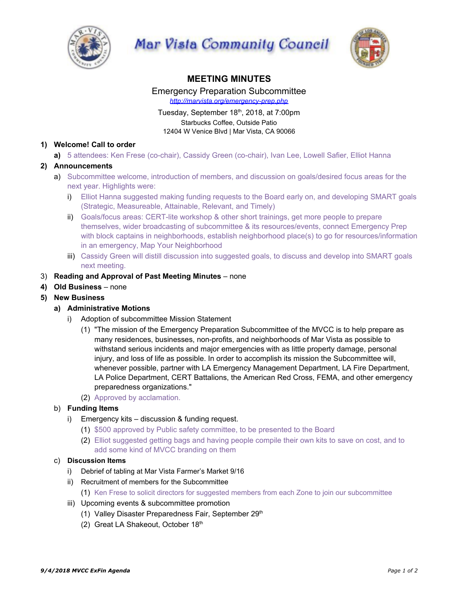

Mar Vista Community Council



# **MEETING MINUTES**

Emergency Preparation Subcommittee *http://marvista.org/emergency-prep.php*

# Tuesday, September 18<sup>th</sup>, 2018, at 7:00pm Starbucks Coffee, Outside Patio 12404 W Venice Blvd | Mar Vista, CA 90066

# **1) Welcome! Call to order**

**a)** 5 attendees: Ken Frese (co-chair), Cassidy Green (co-chair), Ivan Lee, Lowell Safier, Elliot Hanna

# **2) Announcements**

- a) Subcommittee welcome, introduction of members, and discussion on goals/desired focus areas for the next year. Highlights were:
	- i) Elliot Hanna suggested making funding requests to the Board early on, and developing SMART goals (Strategic, Measureable, Attainable, Relevant, and Timely)
	- ii) Goals/focus areas: CERT-lite workshop & other short trainings, get more people to prepare themselves, wider broadcasting of subcommittee & its resources/events, connect Emergency Prep with block captains in neighborhoods, establish neighborhood place(s) to go for resources/information in an emergency, Map Your Neighborhood
	- iii) Cassidy Green will distill discussion into suggested goals, to discuss and develop into SMART goals next meeting.

### 3) **Reading and Approval of Past Meeting Minutes** – none

- **4) Old Business** none
- **5) New Business**

### **a) Administrative Motions**

- i) Adoption of subcommittee Mission Statement
	- (1) "The mission of the Emergency Preparation Subcommittee of the MVCC is to help prepare as many residences, businesses, non-profits, and neighborhoods of Mar Vista as possible to withstand serious incidents and major emergencies with as little property damage, personal injury, and loss of life as possible. In order to accomplish its mission the Subcommittee will, whenever possible, partner with LA Emergency Management Department, LA Fire Department, LA Police Department, CERT Battalions, the American Red Cross, FEMA, and other emergency preparedness organizations."
	- (2) Approved by acclamation.

### b) **Funding Items**

- i) Emergency kits discussion & funding request.
	- (1) \$500 approved by Public safety committee, to be presented to the Board
	- (2) Elliot suggested getting bags and having people compile their own kits to save on cost, and to add some kind of MVCC branding on them

#### c) **Discussion Items**

- i) Debrief of tabling at Mar Vista Farmer's Market 9/16
- ii) Recruitment of members for the Subcommittee
- (1) Ken Frese to solicit directors for suggested members from each Zone to join our subcommittee
- iii) Upcoming events & subcommittee promotion
	- (1) Valley Disaster Preparedness Fair, September 29<sup>th</sup>
	- (2) Great LA Shakeout, October 18th